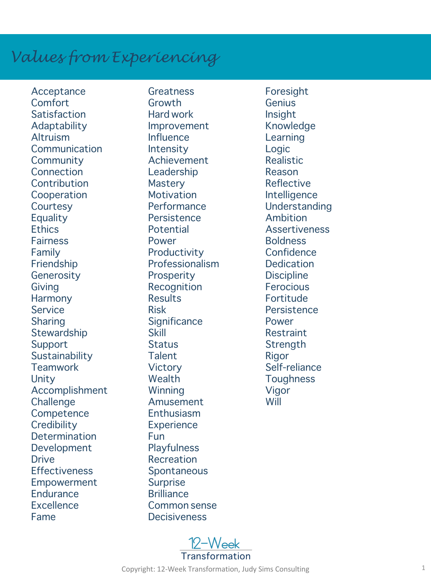## *Values from Experiencing*

Acceptance Comfort **Satisfaction** Adaptability Altruism **Communication Community Connection Contribution** Cooperation **Courtesy Equality Ethics Fairness** Family Friendship Generosity Giving Harmony Service Sharing Stewardship Support **Sustainability Teamwork** Unity Accomplishment **Challenge Competence Credibility** Determination Development **Drive Effectiveness** Empowerment **Endurance Excellence** Fame

**Greatness** Growth Hard work Improvement **Influence Intensity** Achievement Leadership **Mastery Motivation Performance Persistence** Potential Power **Productivity** Professionalism **Prosperity Recognition Results** Risk **Significance** Skill **Status Talent Victory** Wealth Winning Amusement Enthusiasm **Experience** Fun **Playfulness** Recreation Spontaneous Surprise **Brilliance** Common sense **Decisiveness** 

Foresight Genius Insight Knowledge Learning Logic Realistic Reason Reflective Intelligence Understanding Ambition Assertiveness Boldness **Confidence Dedication Discipline Ferocious** Fortitude **Persistence** Power Restraint **Strength** Rigor Self-reliance **Toughness** Vigor Will

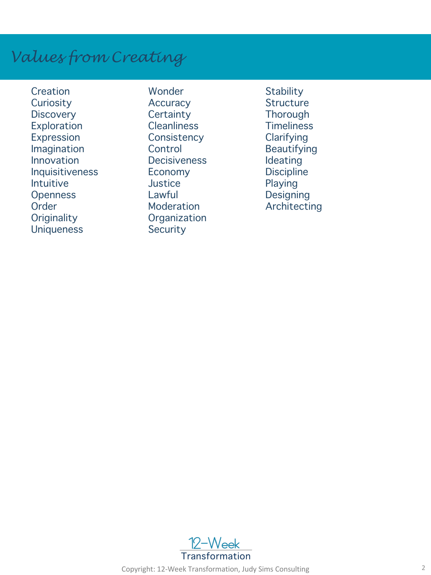## *Values from Creating*

**Creation Curiosity Discovery** Exploration Expression Imagination Innovation Inquisitiveness Intuitive **Openness Order Originality Uniqueness** 

Wonder **Accuracy Certainty Cleanliness Consistency Control Decisiveness** Economy **Justice** Lawful **Moderation Organization Security** 

**Stability Structure Thorough Timeliness Clarifying** Beautifying Ideating **Discipline** Playing Designing Architecting



Copyright: 12-Week Transformation, Judy Sims Consulting